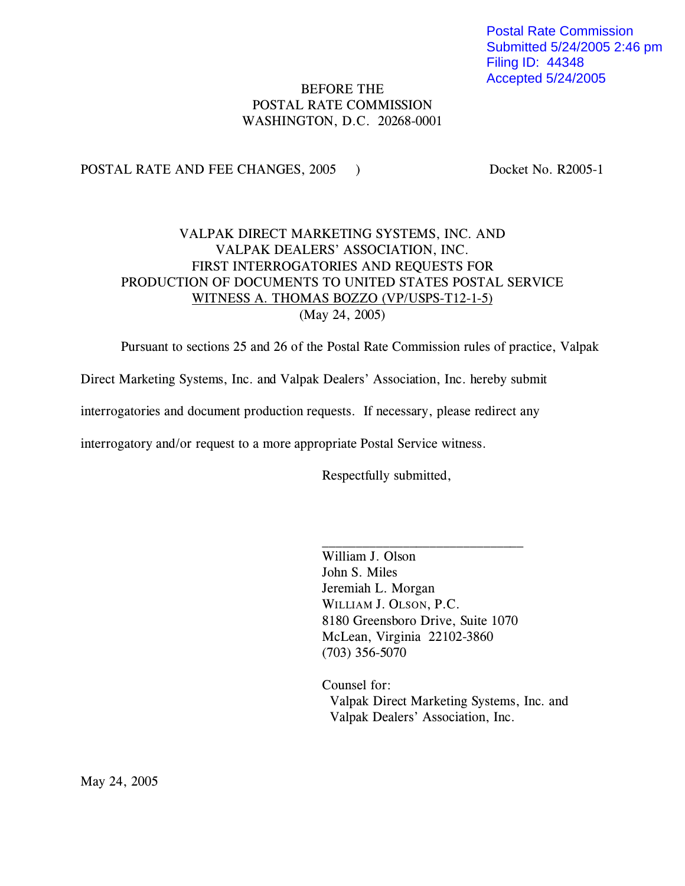Postal Rate Commission Submitted 5/24/2005 2:46 pm Filing ID: 44348 Accepted 5/24/2005

## BEFORE THE POSTAL RATE COMMISSION WASHINGTON, D.C. 20268-0001

POSTAL RATE AND FEE CHANGES, 2005 ) Docket No. R2005-1

# VALPAK DIRECT MARKETING SYSTEMS, INC. AND VALPAK DEALERS' ASSOCIATION, INC. FIRST INTERROGATORIES AND REQUESTS FOR PRODUCTION OF DOCUMENTS TO UNITED STATES POSTAL SERVICE WITNESS A. THOMAS BOZZO (VP/USPS-T12-1-5) (May 24, 2005)

Pursuant to sections 25 and 26 of the Postal Rate Commission rules of practice, Valpak

Direct Marketing Systems, Inc. and Valpak Dealers' Association, Inc. hereby submit

interrogatories and document production requests. If necessary, please redirect any

interrogatory and/or request to a more appropriate Postal Service witness.

Respectfully submitted,

William J. Olson John S. Miles Jeremiah L. Morgan WILLIAM J. OLSON, P.C. 8180 Greensboro Drive, Suite 1070 McLean, Virginia 22102-3860 (703) 356-5070

 $\overline{\phantom{a}}$  , where  $\overline{\phantom{a}}$  , where  $\overline{\phantom{a}}$  , where  $\overline{\phantom{a}}$  , where  $\overline{\phantom{a}}$ 

Counsel for: Valpak Direct Marketing Systems, Inc. and Valpak Dealers' Association, Inc.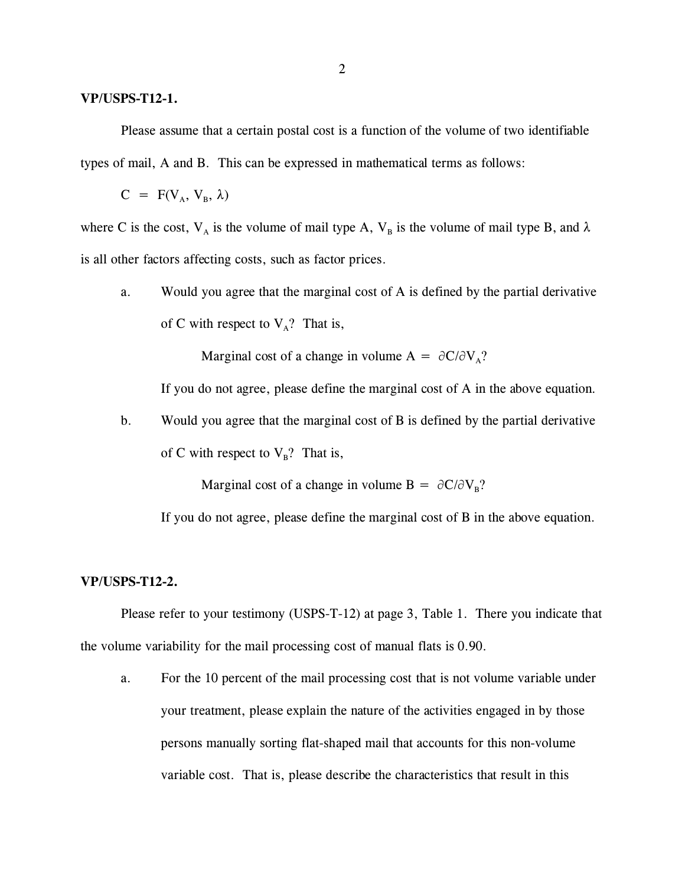### **VP/USPS-T12-1.**

Please assume that a certain postal cost is a function of the volume of two identifiable types of mail, A and B. This can be expressed in mathematical terms as follows:

$$
C = F(V_A, V_B, \lambda)
$$

where C is the cost,  $V_A$  is the volume of mail type A,  $V_B$  is the volume of mail type B, and  $\lambda$ is all other factors affecting costs, such as factor prices.

a. Would you agree that the marginal cost of A is defined by the partial derivative of C with respect to  $V_A$ ? That is,

Marginal cost of a change in volume  $A = \partial C/\partial V_A$ ?

If you do not agree, please define the marginal cost of A in the above equation.

b. Would you agree that the marginal cost of B is defined by the partial derivative of C with respect to  $V_B$ ? That is,

Marginal cost of a change in volume  $B = \partial C/\partial V_B$ ?

If you do not agree, please define the marginal cost of B in the above equation.

#### **VP/USPS-T12-2.**

Please refer to your testimony (USPS-T-12) at page 3, Table 1. There you indicate that the volume variability for the mail processing cost of manual flats is 0.90.

a. For the 10 percent of the mail processing cost that is not volume variable under your treatment, please explain the nature of the activities engaged in by those persons manually sorting flat-shaped mail that accounts for this non-volume variable cost. That is, please describe the characteristics that result in this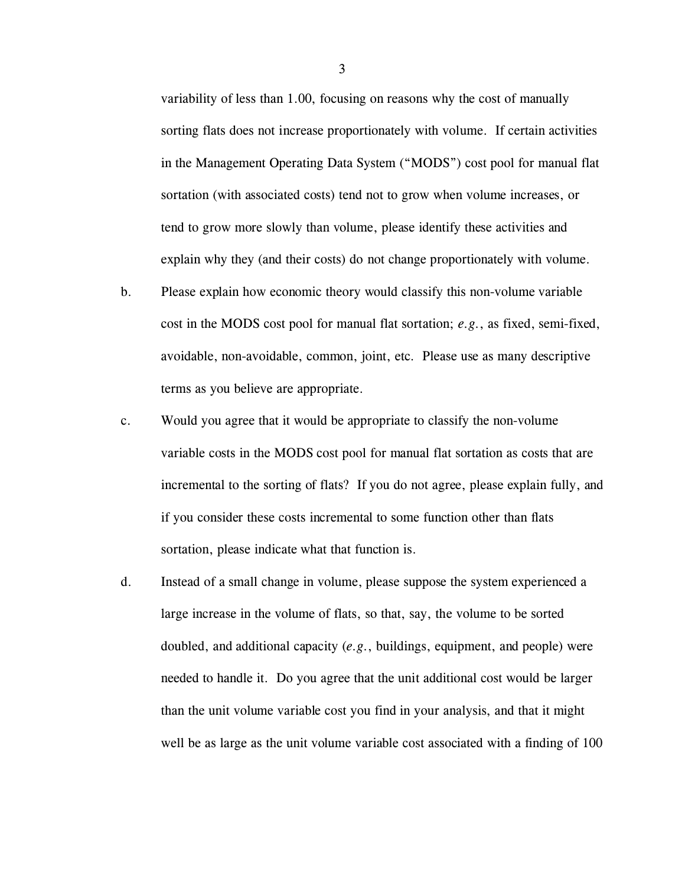variability of less than 1.00, focusing on reasons why the cost of manually sorting flats does not increase proportionately with volume. If certain activities in the Management Operating Data System ("MODS") cost pool for manual flat sortation (with associated costs) tend not to grow when volume increases, or tend to grow more slowly than volume, please identify these activities and explain why they (and their costs) do not change proportionately with volume.

- b. Please explain how economic theory would classify this non-volume variable cost in the MODS cost pool for manual flat sortation; *e.g.*, as fixed, semi-fixed, avoidable, non-avoidable, common, joint, etc. Please use as many descriptive terms as you believe are appropriate.
- c. Would you agree that it would be appropriate to classify the non-volume variable costs in the MODS cost pool for manual flat sortation as costs that are incremental to the sorting of flats? If you do not agree, please explain fully, and if you consider these costs incremental to some function other than flats sortation, please indicate what that function is.
- d. Instead of a small change in volume, please suppose the system experienced a large increase in the volume of flats, so that, say, the volume to be sorted doubled, and additional capacity (*e.g.*, buildings, equipment, and people) were needed to handle it. Do you agree that the unit additional cost would be larger than the unit volume variable cost you find in your analysis, and that it might well be as large as the unit volume variable cost associated with a finding of 100

3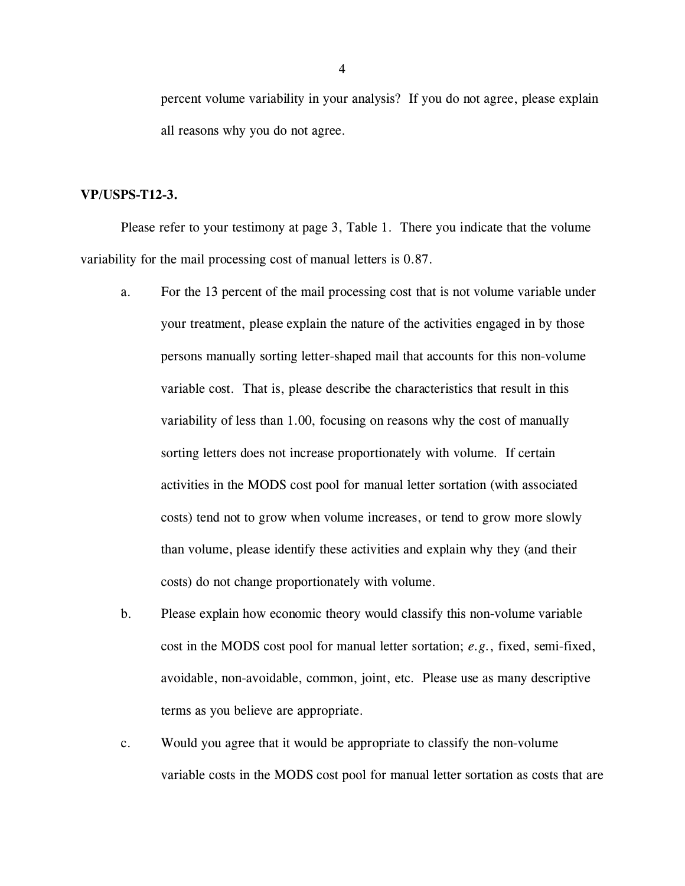percent volume variability in your analysis? If you do not agree, please explain all reasons why you do not agree.

#### **VP/USPS-T12-3.**

Please refer to your testimony at page 3, Table 1. There you indicate that the volume variability for the mail processing cost of manual letters is 0.87.

- a. For the 13 percent of the mail processing cost that is not volume variable under your treatment, please explain the nature of the activities engaged in by those persons manually sorting letter-shaped mail that accounts for this non-volume variable cost. That is, please describe the characteristics that result in this variability of less than 1.00, focusing on reasons why the cost of manually sorting letters does not increase proportionately with volume. If certain activities in the MODS cost pool for manual letter sortation (with associated costs) tend not to grow when volume increases, or tend to grow more slowly than volume, please identify these activities and explain why they (and their costs) do not change proportionately with volume.
- b. Please explain how economic theory would classify this non-volume variable cost in the MODS cost pool for manual letter sortation; *e.g.*, fixed, semi-fixed, avoidable, non-avoidable, common, joint, etc. Please use as many descriptive terms as you believe are appropriate.
- c. Would you agree that it would be appropriate to classify the non-volume variable costs in the MODS cost pool for manual letter sortation as costs that are

4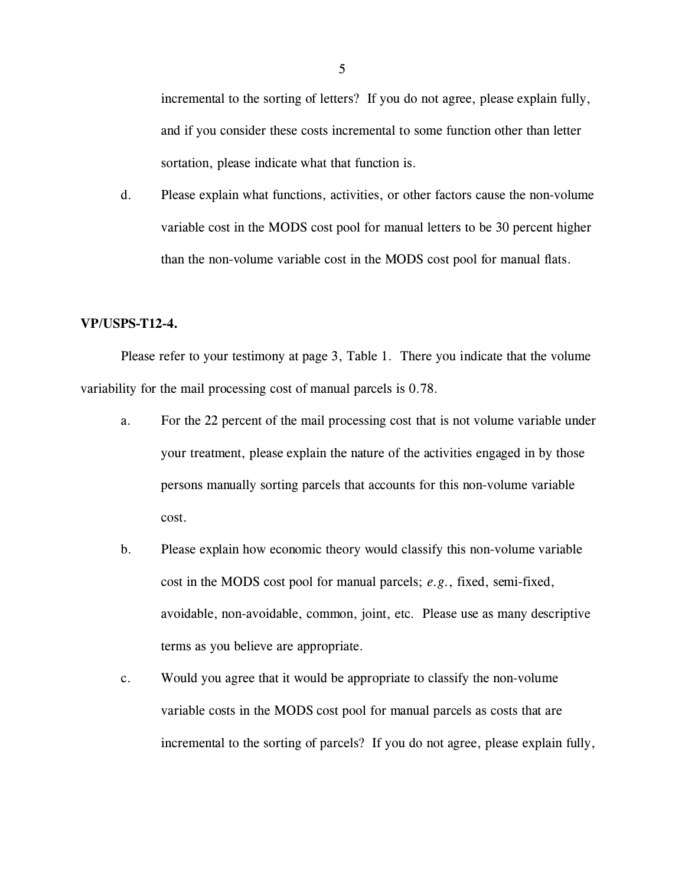incremental to the sorting of letters? If you do not agree, please explain fully, and if you consider these costs incremental to some function other than letter sortation, please indicate what that function is.

d. Please explain what functions, activities, or other factors cause the non-volume variable cost in the MODS cost pool for manual letters to be 30 percent higher than the non-volume variable cost in the MODS cost pool for manual flats.

#### **VP/USPS-T12-4.**

Please refer to your testimony at page 3, Table 1. There you indicate that the volume variability for the mail processing cost of manual parcels is 0.78.

- a. For the 22 percent of the mail processing cost that is not volume variable under your treatment, please explain the nature of the activities engaged in by those persons manually sorting parcels that accounts for this non-volume variable cost.
- b. Please explain how economic theory would classify this non-volume variable cost in the MODS cost pool for manual parcels; *e.g.*, fixed, semi-fixed, avoidable, non-avoidable, common, joint, etc. Please use as many descriptive terms as you believe are appropriate.
- c. Would you agree that it would be appropriate to classify the non-volume variable costs in the MODS cost pool for manual parcels as costs that are incremental to the sorting of parcels? If you do not agree, please explain fully,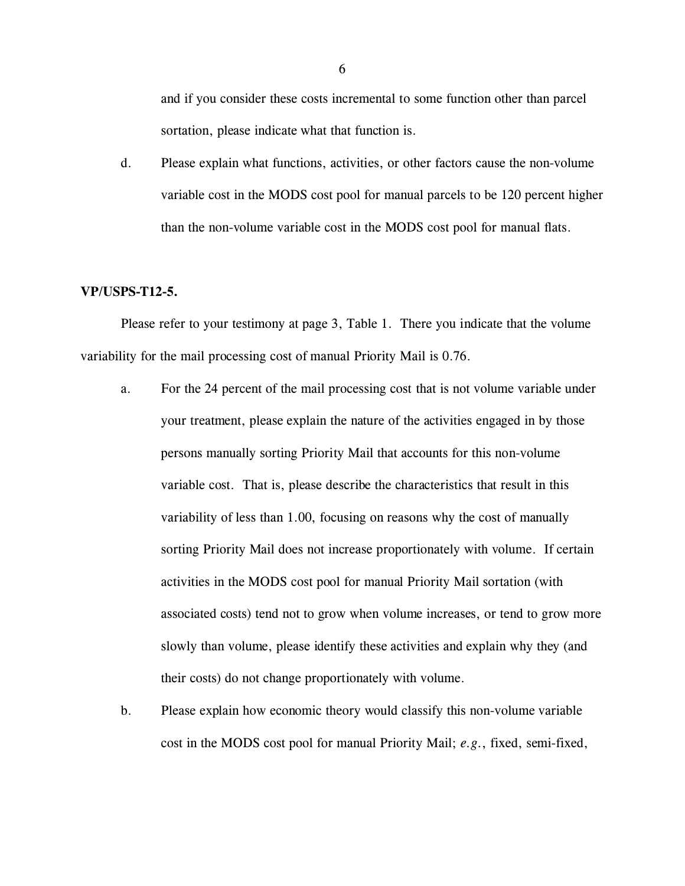and if you consider these costs incremental to some function other than parcel sortation, please indicate what that function is.

d. Please explain what functions, activities, or other factors cause the non-volume variable cost in the MODS cost pool for manual parcels to be 120 percent higher than the non-volume variable cost in the MODS cost pool for manual flats.

### **VP/USPS-T12-5.**

Please refer to your testimony at page 3, Table 1. There you indicate that the volume variability for the mail processing cost of manual Priority Mail is 0.76.

- a. For the 24 percent of the mail processing cost that is not volume variable under your treatment, please explain the nature of the activities engaged in by those persons manually sorting Priority Mail that accounts for this non-volume variable cost. That is, please describe the characteristics that result in this variability of less than 1.00, focusing on reasons why the cost of manually sorting Priority Mail does not increase proportionately with volume. If certain activities in the MODS cost pool for manual Priority Mail sortation (with associated costs) tend not to grow when volume increases, or tend to grow more slowly than volume, please identify these activities and explain why they (and their costs) do not change proportionately with volume.
- b. Please explain how economic theory would classify this non-volume variable cost in the MODS cost pool for manual Priority Mail; *e.g.*, fixed, semi-fixed,

6